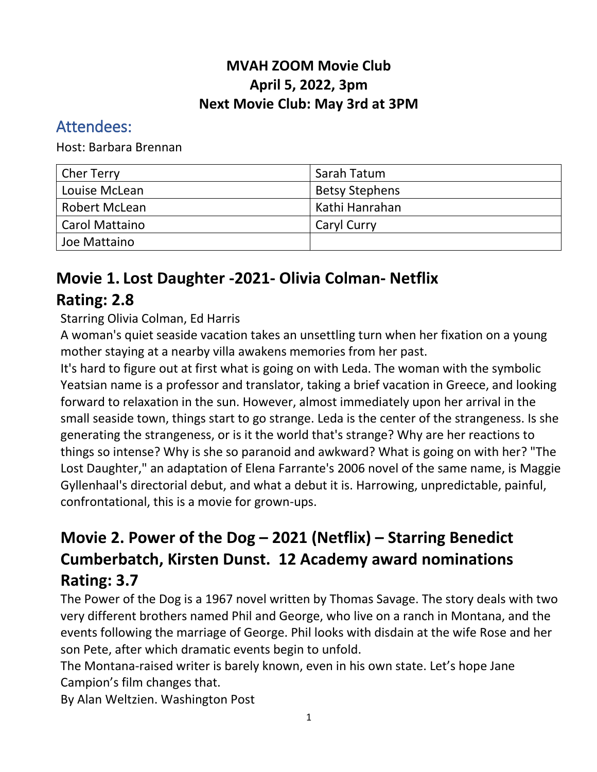### **MVAH ZOOM Movie Club April 5, 2022, 3pm Next Movie Club: May 3rd at 3PM**

### Attendees:

Host: Barbara Brennan

| <b>Cher Terry</b>     | Sarah Tatum           |
|-----------------------|-----------------------|
| Louise McLean         | <b>Betsy Stephens</b> |
| Robert McLean         | Kathi Hanrahan        |
| <b>Carol Mattaino</b> | <b>Caryl Curry</b>    |
| Joe Mattaino          |                       |

# **Movie 1. Lost Daughter -2021- Olivia Colman- Netflix**

## **Rating: 2.8**

#### Starring Olivia Colman, Ed Harris

A woman's quiet seaside vacation takes an unsettling turn when her fixation on a young mother staying at a nearby villa awakens memories from her past.

It's hard to figure out at first what is going on with Leda. The woman with the symbolic Yeatsian name is a professor and translator, taking a brief vacation in Greece, and looking forward to relaxation in the sun. However, almost immediately upon her arrival in the small seaside town, things start to go strange. Leda is the center of the strangeness. Is she generating the strangeness, or is it the world that's strange? Why are her reactions to things so intense? Why is she so paranoid and awkward? What is going on with her? "The Lost Daughter," an adaptation of Elena Farrante's 2006 novel of the same name, is Maggie Gyllenhaal's directorial debut, and what a debut it is. Harrowing, unpredictable, painful, confrontational, this is a movie for grown-ups.

# **Movie 2. Power of the Dog – 2021 (Netflix) – Starring Benedict Cumberbatch, Kirsten Dunst. 12 Academy award nominations Rating: 3.7**

The Power of the Dog is a 1967 novel written by Thomas Savage. The story deals with two very different brothers named Phil and George, who live on a ranch in Montana, and the events following the marriage of George. Phil looks with disdain at the wife Rose and her son Pete, after which dramatic events begin to unfold.

The Montana-raised writer is barely known, even in his own state. Let's hope Jane Campion's film changes that.

By Alan Weltzien. Washington Post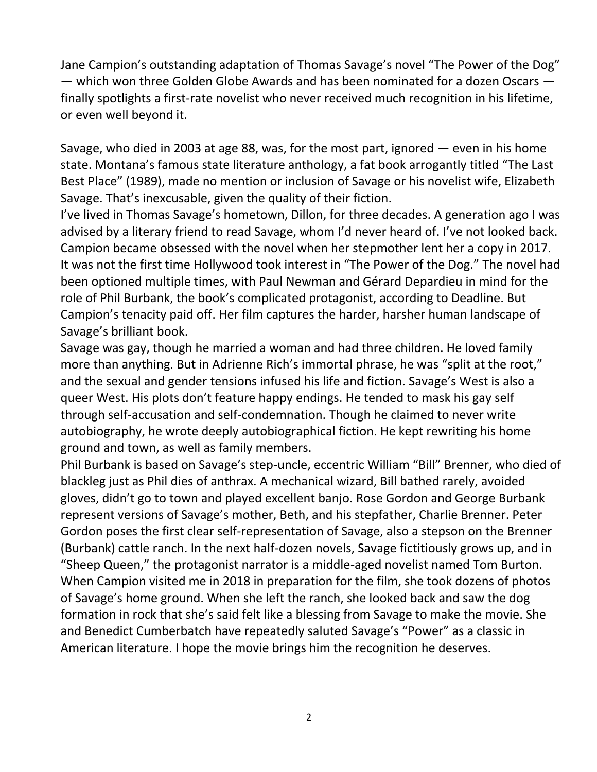Jane Campion's outstanding adaptation of Thomas Savage's novel "The Power of the Dog" — which won three Golden Globe Awards and has been nominated for a dozen Oscars finally spotlights a first-rate novelist who never received much recognition in his lifetime, or even well beyond it.

Savage, who died in 2003 at age 88, was, for the most part, ignored — even in his home state. Montana's famous state literature anthology, a fat book arrogantly titled "The Last Best Place" (1989), made no mention or inclusion of Savage or his novelist wife, Elizabeth Savage. That's inexcusable, given the quality of their fiction.

I've lived in Thomas Savage's hometown, Dillon, for three decades. A generation ago I was advised by a literary friend to read Savage, whom I'd never heard of. I've not looked back. Campion became obsessed with the novel when her stepmother lent her a copy in 2017. It was not the first time Hollywood took interest in "The Power of the Dog." The novel had been optioned multiple times, with Paul Newman and Gérard Depardieu in mind for the role of Phil Burbank, the book's complicated protagonist, according to Deadline. But Campion's tenacity paid off. Her film captures the harder, harsher human landscape of Savage's brilliant book.

Savage was gay, though he married a woman and had three children. He loved family more than anything. But in Adrienne Rich's immortal phrase, he was "split at the root," and the sexual and gender tensions infused his life and fiction. Savage's West is also a queer West. His plots don't feature happy endings. He tended to mask his gay self through self-accusation and self-condemnation. Though he claimed to never write autobiography, he wrote deeply autobiographical fiction. He kept rewriting his home ground and town, as well as family members.

Phil Burbank is based on Savage's step-uncle, eccentric William "Bill" Brenner, who died of blackleg just as Phil dies of anthrax. A mechanical wizard, Bill bathed rarely, avoided gloves, didn't go to town and played excellent banjo. Rose Gordon and George Burbank represent versions of Savage's mother, Beth, and his stepfather, Charlie Brenner. Peter Gordon poses the first clear self-representation of Savage, also a stepson on the Brenner (Burbank) cattle ranch. In the next half-dozen novels, Savage fictitiously grows up, and in "Sheep Queen," the protagonist narrator is a middle-aged novelist named Tom Burton. When Campion visited me in 2018 in preparation for the film, she took dozens of photos of Savage's home ground. When she left the ranch, she looked back and saw the dog formation in rock that she's said felt like a blessing from Savage to make the movie. She and Benedict Cumberbatch have repeatedly saluted Savage's "Power" as a classic in American literature. I hope the movie brings him the recognition he deserves.